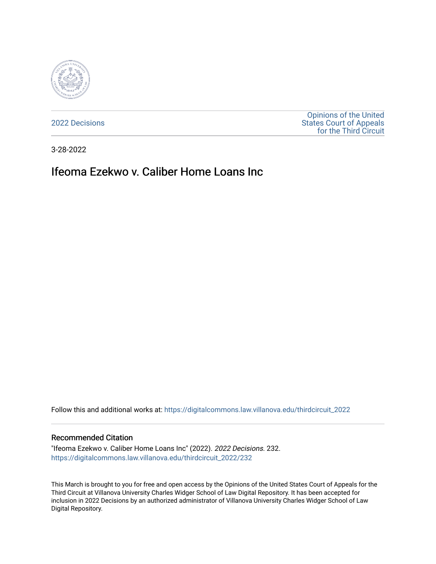

[2022 Decisions](https://digitalcommons.law.villanova.edu/thirdcircuit_2022)

[Opinions of the United](https://digitalcommons.law.villanova.edu/thirdcircuit)  [States Court of Appeals](https://digitalcommons.law.villanova.edu/thirdcircuit)  [for the Third Circuit](https://digitalcommons.law.villanova.edu/thirdcircuit) 

3-28-2022

# Ifeoma Ezekwo v. Caliber Home Loans Inc

Follow this and additional works at: [https://digitalcommons.law.villanova.edu/thirdcircuit\\_2022](https://digitalcommons.law.villanova.edu/thirdcircuit_2022?utm_source=digitalcommons.law.villanova.edu%2Fthirdcircuit_2022%2F232&utm_medium=PDF&utm_campaign=PDFCoverPages) 

#### Recommended Citation

"Ifeoma Ezekwo v. Caliber Home Loans Inc" (2022). 2022 Decisions. 232. [https://digitalcommons.law.villanova.edu/thirdcircuit\\_2022/232](https://digitalcommons.law.villanova.edu/thirdcircuit_2022/232?utm_source=digitalcommons.law.villanova.edu%2Fthirdcircuit_2022%2F232&utm_medium=PDF&utm_campaign=PDFCoverPages)

This March is brought to you for free and open access by the Opinions of the United States Court of Appeals for the Third Circuit at Villanova University Charles Widger School of Law Digital Repository. It has been accepted for inclusion in 2022 Decisions by an authorized administrator of Villanova University Charles Widger School of Law Digital Repository.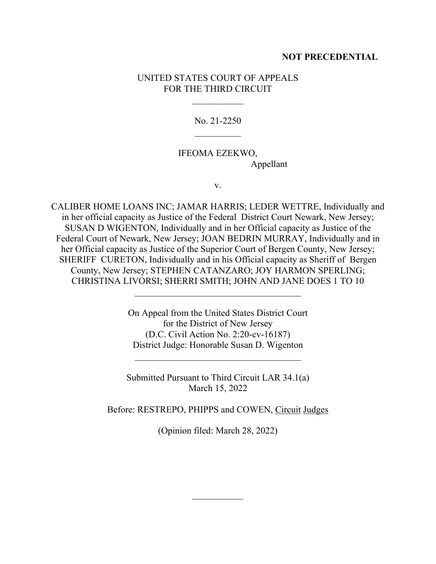### **NOT PRECEDENTIAL**

### UNITED STATES COURT OF APPEALS FOR THE THIRD CIRCUIT

 $\frac{1}{2}$ 

No. 21-2250  $\frac{1}{2}$ 

## IFEOMA EZEKWO, Appellant

v.

CALIBER HOME LOANS INC; JAMAR HARRIS; LEDER WETTRE, Individually and in her official capacity as Justice of the Federal District Court Newark, New Jersey; SUSAN D WIGENTON, Individually and in her Official capacity as Justice of the Federal Court of Newark, New Jersey; JOAN BEDRIN MURRAY, Individually and in her Official capacity as Justice of the Superior Court of Bergen County, New Jersey; SHERIFF CURETON, Individually and in his Official capacity as Sheriff of Bergen County, New Jersey; STEPHEN CATANZARO; JOY HARMON SPERLING; CHRISTINA LIVORSI; SHERRI SMITH; JOHN AND JANE DOES 1 TO 10

> On Appeal from the United States District Court for the District of New Jersey (D.C. Civil Action No. 2:20-cv-16187) District Judge: Honorable Susan D. Wigenton

\_\_\_\_\_\_\_\_\_\_\_\_\_\_\_\_\_\_\_\_\_\_\_\_\_\_\_\_\_\_\_\_\_\_\_\_

 $\mathcal{L}_\text{max}$  , where  $\mathcal{L}_\text{max}$  is the set of the set of the set of the set of the set of the set of the set of the set of the set of the set of the set of the set of the set of the set of the set of the set of the se

Submitted Pursuant to Third Circuit LAR 34.1(a) March 15, 2022

Before: RESTREPO, PHIPPS and COWEN, Circuit Judges

(Opinion filed: March 28, 2022)

 $\frac{1}{2}$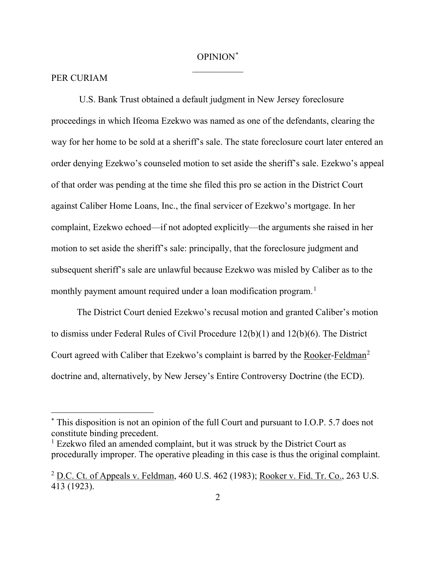## OPINION[\\*](#page-2-0)  $\overline{\phantom{a}}$

#### PER CURIAM

U.S. Bank Trust obtained a default judgment in New Jersey foreclosure proceedings in which Ifeoma Ezekwo was named as one of the defendants, clearing the way for her home to be sold at a sheriff's sale. The state foreclosure court later entered an order denying Ezekwo's counseled motion to set aside the sheriff's sale. Ezekwo's appeal of that order was pending at the time she filed this pro se action in the District Court against Caliber Home Loans, Inc., the final servicer of Ezekwo's mortgage. In her complaint, Ezekwo echoed—if not adopted explicitly—the arguments she raised in her motion to set aside the sheriff's sale: principally, that the foreclosure judgment and subsequent sheriff's sale are unlawful because Ezekwo was misled by Caliber as to the monthly payment amount required under a loan modification program. [1](#page-2-1)

The District Court denied Ezekwo's recusal motion and granted Caliber's motion to dismiss under Federal Rules of Civil Procedure 12(b)(1) and 12(b)(6). The District Court agreed with Caliber that Ezekwo's complaint is barred by the Rooker-Feldman<sup>[2](#page-2-2)</sup> doctrine and, alternatively, by New Jersey's Entire Controversy Doctrine (the ECD).

<span id="page-2-0"></span><sup>\*</sup> This disposition is not an opinion of the full Court and pursuant to I.O.P. 5.7 does not constitute binding precedent.

<span id="page-2-1"></span> $1$  Ezekwo filed an amended complaint, but it was struck by the District Court as procedurally improper. The operative pleading in this case is thus the original complaint.

<span id="page-2-2"></span> $^{2}$  D.C. Ct. of Appeals v. Feldman, 460 U.S. 462 (1983); Rooker v. Fid. Tr. Co., 263 U.S. 413 (1923).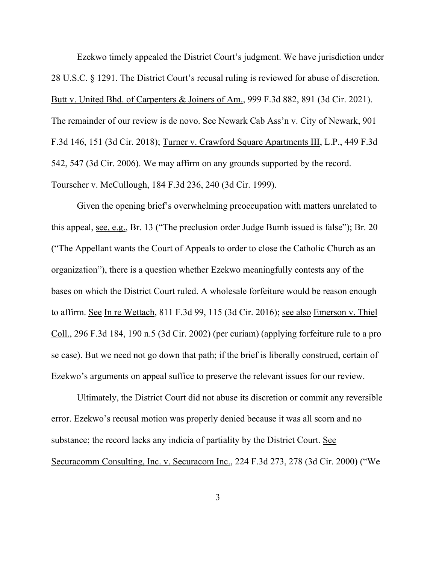Ezekwo timely appealed the District Court's judgment. We have jurisdiction under 28 U.S.C. § 1291. The District Court's recusal ruling is reviewed for abuse of discretion. Butt v. United Bhd. of Carpenters & Joiners of Am., 999 F.3d 882, 891 (3d Cir. 2021). The remainder of our review is de novo. See Newark Cab Ass'n v. City of Newark, 901 F.3d 146, 151 (3d Cir. 2018); Turner v. Crawford Square Apartments III, L.P., 449 F.3d 542, 547 (3d Cir. 2006). We may affirm on any grounds supported by the record. Tourscher v. McCullough, 184 F.3d 236, 240 (3d Cir. 1999).

Given the opening brief's overwhelming preoccupation with matters unrelated to this appeal, see, e.g., Br. 13 ("The preclusion order Judge Bumb issued is false"); Br. 20 ("The Appellant wants the Court of Appeals to order to close the Catholic Church as an organization"), there is a question whether Ezekwo meaningfully contests any of the bases on which the District Court ruled. A wholesale forfeiture would be reason enough to affirm. See In re Wettach, 811 F.3d 99, 115 (3d Cir. 2016); see also Emerson v. Thiel Coll., 296 F.3d 184, 190 n.5 (3d Cir. 2002) (per curiam) (applying forfeiture rule to a pro se case). But we need not go down that path; if the brief is liberally construed, certain of Ezekwo's arguments on appeal suffice to preserve the relevant issues for our review.

Ultimately, the District Court did not abuse its discretion or commit any reversible error. Ezekwo's recusal motion was properly denied because it was all scorn and no substance; the record lacks any indicia of partiality by the District Court. See Securacomm Consulting, Inc. v. Securacom Inc., 224 F.3d 273, 278 (3d Cir. 2000) ("We